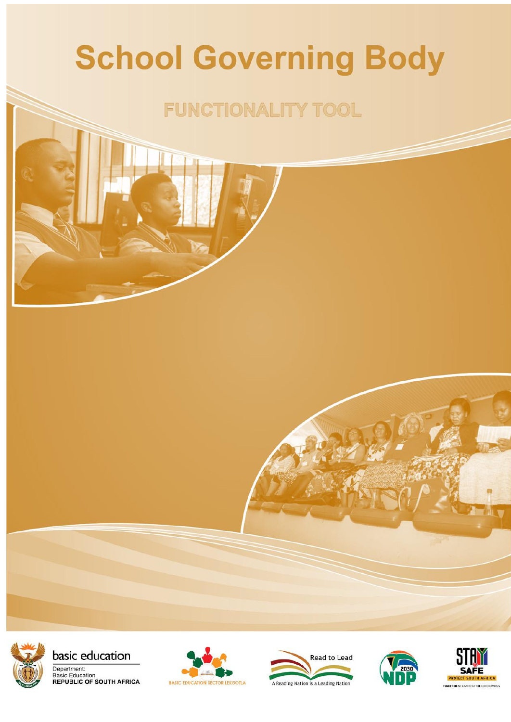# **School Governing Body**

## **FUNCTIONALITY TOOL**



basic education







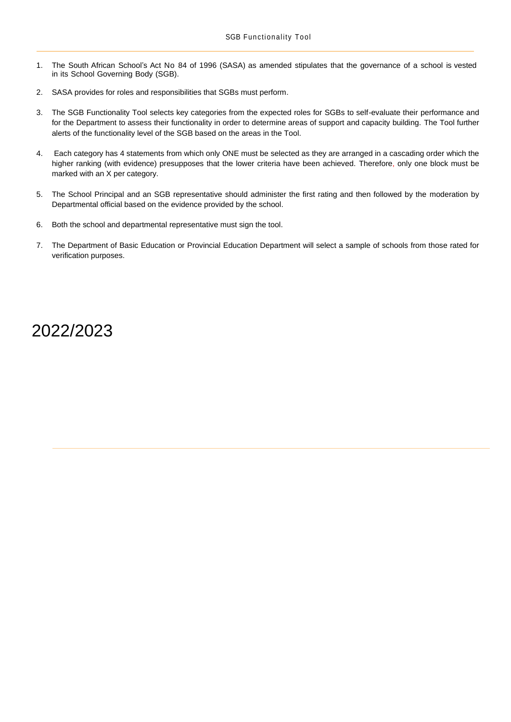- 1. The South African School's Act No 84 of 1996 (SASA) as amended stipulates that the governance of a school is vested in its School Governing Body (SGB).
- 2. SASA provides for roles and responsibilities that SGBs must perform.
- 3. The SGB Functionality Tool selects key categories from the expected roles for SGBs to self-evaluate their performance and for the Department to assess their functionality in order to determine areas of support and capacity building. The Tool further alerts of the functionality level of the SGB based on the areas in the Tool.
- 4. Each category has 4 statements from which only ONE must be selected as they are arranged in a cascading order which the higher ranking (with evidence) presupposes that the lower criteria have been achieved. Therefore, only one block must be marked with an X per category.
- 5. The School Principal and an SGB representative should administer the first rating and then followed by the moderation by Departmental official based on the evidence provided by the school.
- 6. Both the school and departmental representative must sign the tool.
- 7. The Department of Basic Education or Provincial Education Department will select a sample of schools from those rated for verification purposes.

### 2022/2023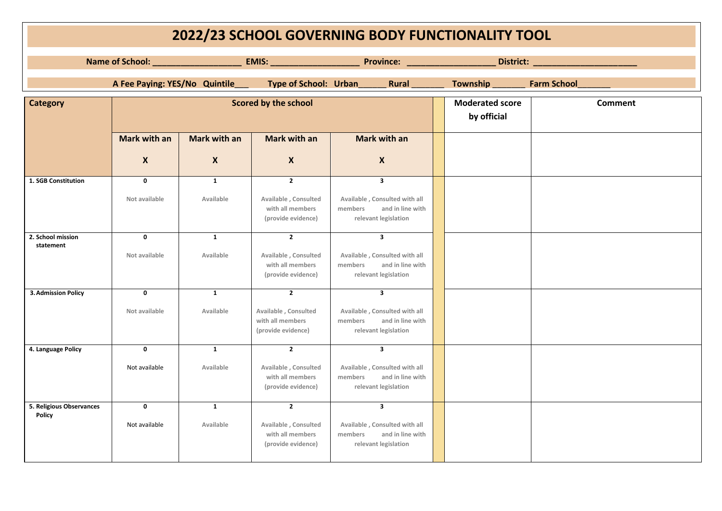| 2022/23 SCHOOL GOVERNING BODY FUNCTIONALITY TOOL |                              |                               |                                                                                  |                                                                                                                 |  |                                       |                    |
|--------------------------------------------------|------------------------------|-------------------------------|----------------------------------------------------------------------------------|-----------------------------------------------------------------------------------------------------------------|--|---------------------------------------|--------------------|
|                                                  |                              |                               |                                                                                  |                                                                                                                 |  |                                       |                    |
|                                                  |                              | A Fee Paying: YES/No Quintile | Type of School: Urban                                                            | <b>Rural Rural</b>                                                                                              |  | Township                              | <b>Farm School</b> |
| <b>Category</b>                                  |                              |                               | Scored by the school                                                             |                                                                                                                 |  | <b>Moderated score</b><br>by official | Comment            |
|                                                  | <b>Mark with an</b>          | Mark with an                  | <b>Mark with an</b>                                                              | <b>Mark with an</b>                                                                                             |  |                                       |                    |
|                                                  | $\boldsymbol{X}$             | $\boldsymbol{X}$              | $\boldsymbol{X}$                                                                 | $\boldsymbol{X}$                                                                                                |  |                                       |                    |
| 1. SGB Constitution                              | $\mathbf 0$<br>Not available | $\mathbf{1}$<br>Available     | $\overline{2}$<br>Available, Consulted<br>with all members<br>(provide evidence) | $\overline{\mathbf{3}}$<br>Available, Consulted with all<br>members<br>and in line with<br>relevant legislation |  |                                       |                    |
| 2. School mission<br>statement                   | $\mathbf 0$<br>Not available | $\mathbf{1}$<br>Available     | $\overline{2}$<br>Available, Consulted<br>with all members<br>(provide evidence) | $\mathbf{3}$<br>Available, Consulted with all<br>and in line with<br>members<br>relevant legislation            |  |                                       |                    |
| <b>3. Admission Policy</b>                       | $\mathbf 0$<br>Not available | $\mathbf{1}$<br>Available     | $\overline{2}$<br>Available, Consulted<br>with all members<br>(provide evidence) | $\mathbf{3}$<br>Available, Consulted with all<br>and in line with<br>members<br>relevant legislation            |  |                                       |                    |
| 4. Language Policy                               | $\mathbf 0$<br>Not available | $\mathbf{1}$<br>Available     | $\overline{2}$<br>Available, Consulted<br>with all members<br>(provide evidence) | $\overline{\mathbf{3}}$<br>Available, Consulted with all<br>and in line with<br>members<br>relevant legislation |  |                                       |                    |
| 5. Religious Observances<br><b>Policy</b>        | $\mathbf 0$<br>Not available | $\mathbf{1}$<br>Available     | $\overline{2}$<br>Available, Consulted<br>with all members<br>(provide evidence) | $\overline{\mathbf{3}}$<br>Available, Consulted with all<br>and in line with<br>members<br>relevant legislation |  |                                       |                    |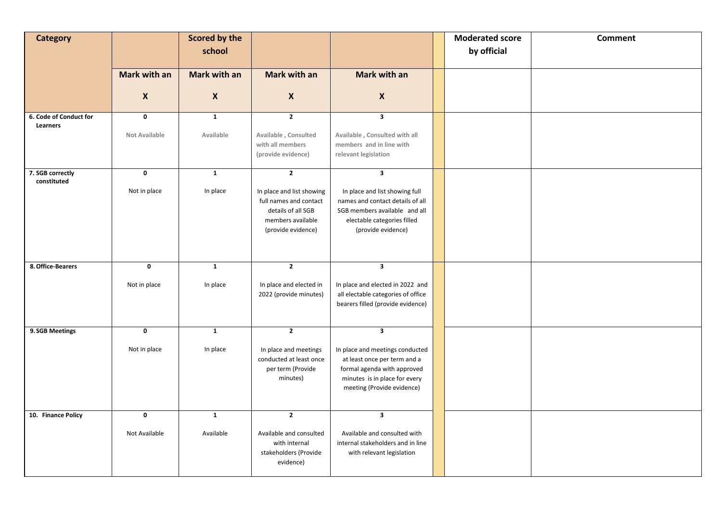| <b>Category</b>                    |                      | <b>Scored by the</b> |                                                                                                                      |                                                                                                                                                               | <b>Moderated score</b> | <b>Comment</b> |
|------------------------------------|----------------------|----------------------|----------------------------------------------------------------------------------------------------------------------|---------------------------------------------------------------------------------------------------------------------------------------------------------------|------------------------|----------------|
|                                    |                      | school               |                                                                                                                      |                                                                                                                                                               | by official            |                |
|                                    |                      |                      |                                                                                                                      |                                                                                                                                                               |                        |                |
|                                    | Mark with an         | Mark with an         | <b>Mark with an</b>                                                                                                  | Mark with an                                                                                                                                                  |                        |                |
|                                    | $\boldsymbol{X}$     | $\boldsymbol{X}$     | $\pmb{\mathsf{X}}$                                                                                                   | $\pmb{\mathsf{X}}$                                                                                                                                            |                        |                |
| 6. Code of Conduct for<br>Learners | $\mathbf 0$          | $\mathbf{1}$         | $\overline{2}$                                                                                                       | $\mathbf{3}$                                                                                                                                                  |                        |                |
|                                    | <b>Not Available</b> | Available            | Available, Consulted<br>with all members<br>(provide evidence)                                                       | Available, Consulted with all<br>members and in line with<br>relevant legislation                                                                             |                        |                |
| 7. SGB correctly<br>constituted    | $\mathbf 0$          | $\mathbf{1}$         | $\mathbf{2}$                                                                                                         | $\overline{\mathbf{3}}$                                                                                                                                       |                        |                |
|                                    | Not in place         | In place             | In place and list showing<br>full names and contact<br>details of all SGB<br>members available<br>(provide evidence) | In place and list showing full<br>names and contact details of all<br>SGB members available and all<br>electable categories filled<br>(provide evidence)      |                        |                |
| 8. Office-Bearers                  | $\mathbf 0$          | $\mathbf{1}$         | $\overline{2}$                                                                                                       | $\mathbf{3}$                                                                                                                                                  |                        |                |
|                                    | Not in place         | In place             | In place and elected in<br>2022 (provide minutes)                                                                    | In place and elected in 2022 and<br>all electable categories of office<br>bearers filled (provide evidence)                                                   |                        |                |
| 9. SGB Meetings                    | $\mathbf 0$          | $\mathbf{1}$         | $\overline{2}$                                                                                                       | $\overline{\mathbf{3}}$                                                                                                                                       |                        |                |
|                                    | Not in place         | In place             | In place and meetings<br>conducted at least once<br>per term (Provide<br>minutes)                                    | In place and meetings conducted<br>at least once per term and a<br>formal agenda with approved<br>minutes is in place for every<br>meeting (Provide evidence) |                        |                |
| 10. Finance Policy                 | $\mathbf 0$          | $\mathbf 1$          | $\overline{2}$                                                                                                       | $\overline{\mathbf{3}}$                                                                                                                                       |                        |                |
|                                    | Not Available        | Available            | Available and consulted<br>with internal<br>stakeholders (Provide<br>evidence)                                       | Available and consulted with<br>internal stakeholders and in line<br>with relevant legislation                                                                |                        |                |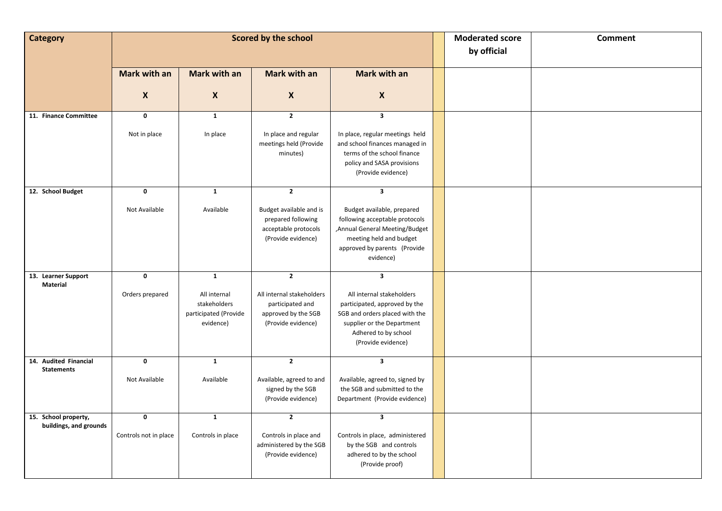| <b>Category</b>                            |                       |                              | Scored by the school                                                                        |                                                                                                                                                                        | <b>Moderated score</b> | <b>Comment</b> |
|--------------------------------------------|-----------------------|------------------------------|---------------------------------------------------------------------------------------------|------------------------------------------------------------------------------------------------------------------------------------------------------------------------|------------------------|----------------|
|                                            |                       |                              |                                                                                             |                                                                                                                                                                        | by official            |                |
|                                            |                       |                              |                                                                                             |                                                                                                                                                                        |                        |                |
|                                            | <b>Mark with an</b>   | <b>Mark with an</b>          | Mark with an                                                                                | Mark with an                                                                                                                                                           |                        |                |
|                                            |                       |                              |                                                                                             |                                                                                                                                                                        |                        |                |
|                                            | $\boldsymbol{X}$      | $\boldsymbol{X}$             | $\pmb{\chi}$                                                                                | $\pmb{\times}$                                                                                                                                                         |                        |                |
| 11. Finance Committee                      | $\mathbf 0$           | $\mathbf 1$                  | $\mathbf 2$                                                                                 | $\overline{\mathbf{3}}$                                                                                                                                                |                        |                |
|                                            | Not in place          | In place                     | In place and regular<br>meetings held (Provide<br>minutes)                                  | In place, regular meetings held<br>and school finances managed in<br>terms of the school finance<br>policy and SASA provisions<br>(Provide evidence)                   |                        |                |
| 12. School Budget                          | $\mathbf 0$           | $\mathbf{1}$                 | $\overline{2}$                                                                              | $\overline{\mathbf{3}}$                                                                                                                                                |                        |                |
|                                            | Not Available         | Available                    | Budget available and is<br>prepared following<br>acceptable protocols<br>(Provide evidence) | Budget available, prepared<br>following acceptable protocols<br>Annual General Meeting/Budget,<br>meeting held and budget<br>approved by parents (Provide<br>evidence) |                        |                |
| 13. Learner Support                        | $\pmb{0}$             | $\mathbf{1}$                 | $\overline{2}$                                                                              | $\overline{\mathbf{3}}$                                                                                                                                                |                        |                |
| <b>Material</b>                            | Orders prepared       | All internal<br>stakeholders | All internal stakeholders<br>participated and                                               | All internal stakeholders<br>participated, approved by the                                                                                                             |                        |                |
|                                            |                       | participated (Provide        | approved by the SGB                                                                         | SGB and orders placed with the                                                                                                                                         |                        |                |
|                                            |                       | evidence)                    | (Provide evidence)                                                                          | supplier or the Department<br>Adhered to by school<br>(Provide evidence)                                                                                               |                        |                |
| 14. Audited Financial<br><b>Statements</b> | $\mathbf 0$           | $\mathbf{1}$                 | $\overline{2}$                                                                              | $\overline{\mathbf{3}}$                                                                                                                                                |                        |                |
|                                            | Not Available         | Available                    | Available, agreed to and<br>signed by the SGB<br>(Provide evidence)                         | Available, agreed to, signed by<br>the SGB and submitted to the<br>Department (Provide evidence)                                                                       |                        |                |
| 15. School property,                       | $\mathbf 0$           | $\mathbf{1}$                 | $\overline{\mathbf{2}}$                                                                     | $\overline{\mathbf{3}}$                                                                                                                                                |                        |                |
| buildings, and grounds                     | Controls not in place | Controls in place            | Controls in place and<br>administered by the SGB<br>(Provide evidence)                      | Controls in place, administered<br>by the SGB and controls<br>adhered to by the school<br>(Provide proof)                                                              |                        |                |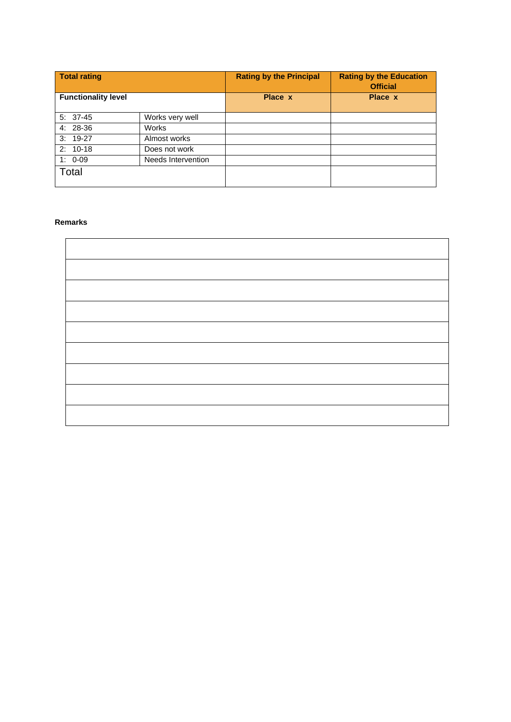| <b>Total rating</b>        |                    | <b>Rating by the Principal</b> | <b>Rating by the Education</b><br><b>Official</b> |
|----------------------------|--------------------|--------------------------------|---------------------------------------------------|
| <b>Functionality level</b> |                    | Place x                        | Place x                                           |
| $5: 37-45$                 | Works very well    |                                |                                                   |
| 4: 28-36                   | Works              |                                |                                                   |
| $3:19-27$                  | Almost works       |                                |                                                   |
| $2: 10-18$                 | Does not work      |                                |                                                   |
| $1: 0-09$                  | Needs Intervention |                                |                                                   |
| Total                      |                    |                                |                                                   |

#### **Remarks**

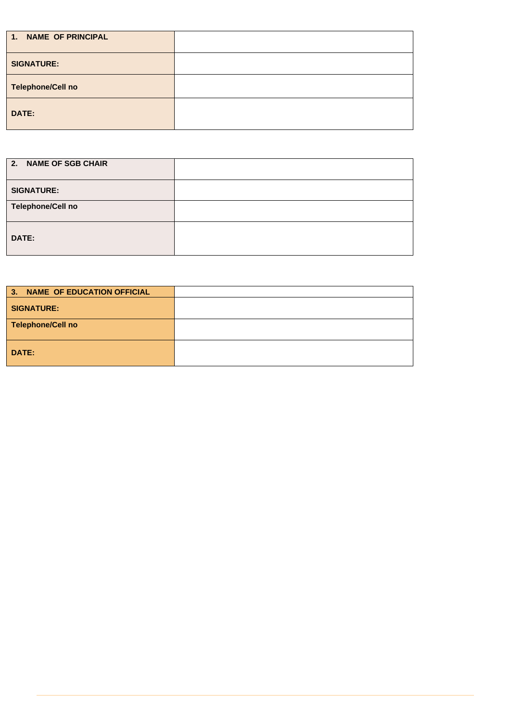| 1. NAME OF PRINCIPAL     |  |
|--------------------------|--|
| <b>SIGNATURE:</b>        |  |
| <b>Telephone/Cell no</b> |  |
| DATE:                    |  |

| 2. NAME OF SGB CHAIR |  |
|----------------------|--|
| <b>SIGNATURE:</b>    |  |
| Telephone/Cell no    |  |
| DATE:                |  |

| 3. NAME OF EDUCATION OFFICIAL |  |
|-------------------------------|--|
| <b>SIGNATURE:</b>             |  |
| <b>Telephone/Cell no</b>      |  |
| DATE:                         |  |